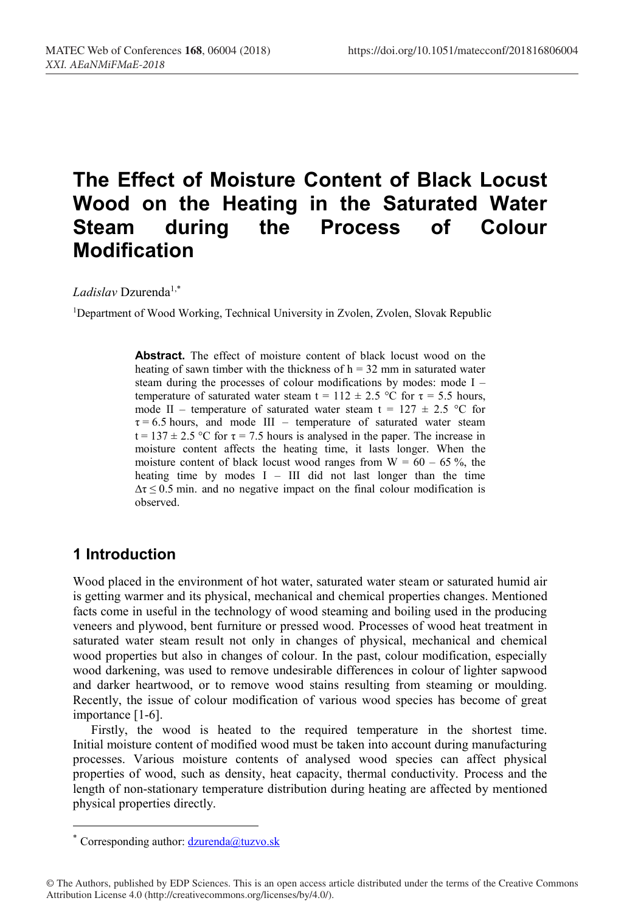# **The Effect of Moisture Content of Black Locust Wood on the Heating in the Saturated Water Steam during the Process of Colour Modification**

Ladislav Dzurenda<sup>1,\*</sup>

1Department of Wood Working, Technical University in Zvolen, Zvolen, Slovak Republic

**Abstract.** The effect of moisture content of black locust wood on the heating of sawn timber with the thickness of  $h = 32$  mm in saturated water steam during the processes of colour modifications by modes: mode I – temperature of saturated water steam t =  $112 \pm 2.5$  °C for  $\tau$  = 5.5 hours, mode II – temperature of saturated water steam t =  $127 \pm 2.5$  °C for  $\tau = 6.5$  hours, and mode III – temperature of saturated water steam  $t = 137 \pm 2.5$  °C for  $\tau = 7.5$  hours is analysed in the paper. The increase in moisture content affects the heating time, it lasts longer. When the moisture content of black locust wood ranges from  $W = 60 - 65$ %, the heating time by modes I – III did not last longer than the time  $\Delta \tau \leq 0.5$  min. and no negative impact on the final colour modification is observed.

## **1 Introduction**

Wood placed in the environment of hot water, saturated water steam or saturated humid air is getting warmer and its physical, mechanical and chemical properties changes. Mentioned facts come in useful in the technology of wood steaming and boiling used in the producing veneers and plywood, bent furniture or pressed wood. Processes of wood heat treatment in saturated water steam result not only in changes of physical, mechanical and chemical wood properties but also in changes of colour. In the past, colour modification, especially wood darkening, was used to remove undesirable differences in colour of lighter sapwood and darker heartwood, or to remove wood stains resulting from steaming or moulding. Recently, the issue of colour modification of various wood species has become of great importance [1-6].

Firstly, the wood is heated to the required temperature in the shortest time. Initial moisture content of modified wood must be taken into account during manufacturing processes. Various moisture contents of analysed wood species can affect physical properties of wood, such as density, heat capacity, thermal conductivity. Process and the length of non-stationary temperature distribution during heating are affected by mentioned physical properties directly.

 <sup>\*</sup> Corresponding author: dzurenda@tuzvo.sk

<sup>©</sup> The Authors, published by EDP Sciences. This is an open access article distributed under the terms of the Creative Commons Attribution License 4.0 (http://creativecommons.org/licenses/by/4.0/).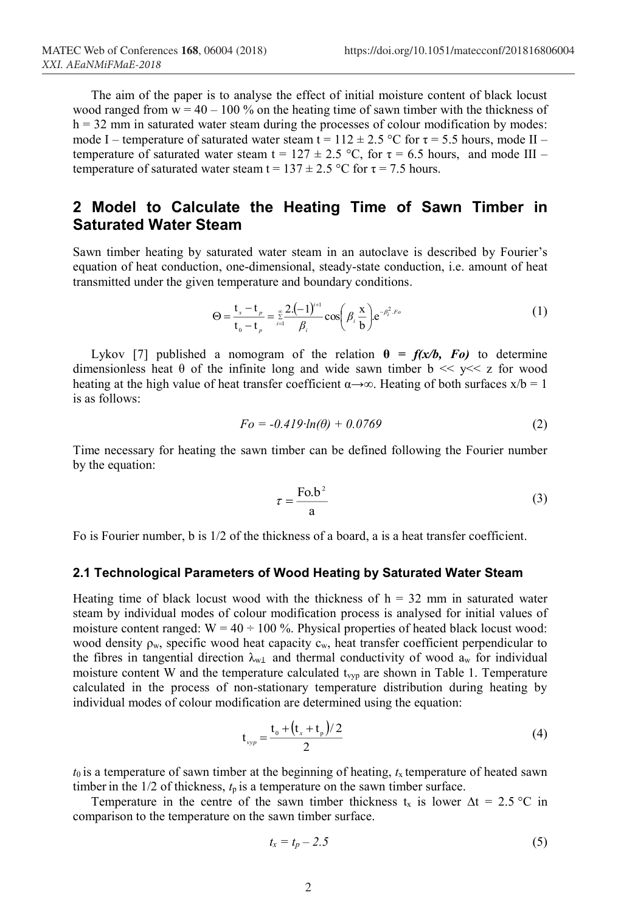The aim of the paper is to analyse the effect of initial moisture content of black locust wood ranged from  $w = 40 - 100\%$  on the heating time of sawn timber with the thickness of  $h = 32$  mm in saturated water steam during the processes of colour modification by modes: mode I – temperature of saturated water steam t =  $112 \pm 2.5$  °C for  $\tau$  = 5.5 hours, mode II – temperature of saturated water steam t =  $127 \pm 2.5$  °C, for  $\tau = 6.5$  hours, and mode III – temperature of saturated water steam t =  $137 \pm 2.5$  °C for  $\tau$  = 7.5 hours.

# **2 Model to Calculate the Heating Time of Sawn Timber in Saturated Water Steam**

Sawn timber heating by saturated water steam in an autoclave is described by Fourier's equation of heat conduction, one-dimensional, steady-state conduction, i.e. amount of heat transmitted under the given temperature and boundary conditions.

$$
\Theta = \frac{t_x - t_p}{t_0 - t_p} = \sum_{i=1}^{\infty} \frac{2 \cdot (-1)^{i+1}}{\beta_i} \cos \left( \beta_i \frac{x}{b} \right) e^{-\beta_i^2 \cdot F \cdot \sigma}
$$
(1)

Lykov [7] published a nomogram of the relation  $\theta = f(x/b, Fo)$  to determine dimensionless heat  $\theta$  of the infinite long and wide sawn timber  $b \ll y \ll z$  for wood heating at the high value of heat transfer coefficient  $\alpha \rightarrow \infty$ . Heating of both surfaces  $x/b = 1$ is as follows:

$$
Fo = -0.419 \cdot ln(\theta) + 0.0769
$$
 (2)

Time necessary for heating the sawn timber can be defined following the Fourier number by the equation:

$$
\tau = \frac{\text{Fo.b}^2}{a} \tag{3}
$$

Fo is Fourier number, b is 1/2 of the thickness of a board, a is a heat transfer coefficient.

#### **2.1 Technological Parameters of Wood Heating by Saturated Water Steam**

Heating time of black locust wood with the thickness of  $h = 32$  mm in saturated water steam by individual modes of colour modification process is analysed for initial values of moisture content ranged:  $W = 40 \div 100$  %. Physical properties of heated black locust wood: wood density  $\rho_w$ , specific wood heat capacity  $c_w$ , heat transfer coefficient perpendicular to the fibres in tangential direction  $\lambda_{w\perp}$  and thermal conductivity of wood  $a_w$  for individual moisture content W and the temperature calculated  $t_{vyp}$  are shown in Table 1. Temperature calculated in the process of non-stationary temperature distribution during heating by individual modes of colour modification are determined using the equation:

$$
t_{\text{vyp}} = \frac{t_0 + (t_x + t_p)/2}{2} \tag{4}
$$

 $t_0$  is a temperature of sawn timber at the beginning of heating,  $t_x$  temperature of heated sawn timber in the  $1/2$  of thickness,  $t_p$  is a temperature on the sawn timber surface.

Temperature in the centre of the sawn timber thickness t<sub>x</sub> is lower  $\Delta t = 2.5$  °C in comparison to the temperature on the sawn timber surface.

$$
t_x = t_p - 2.5 \tag{5}
$$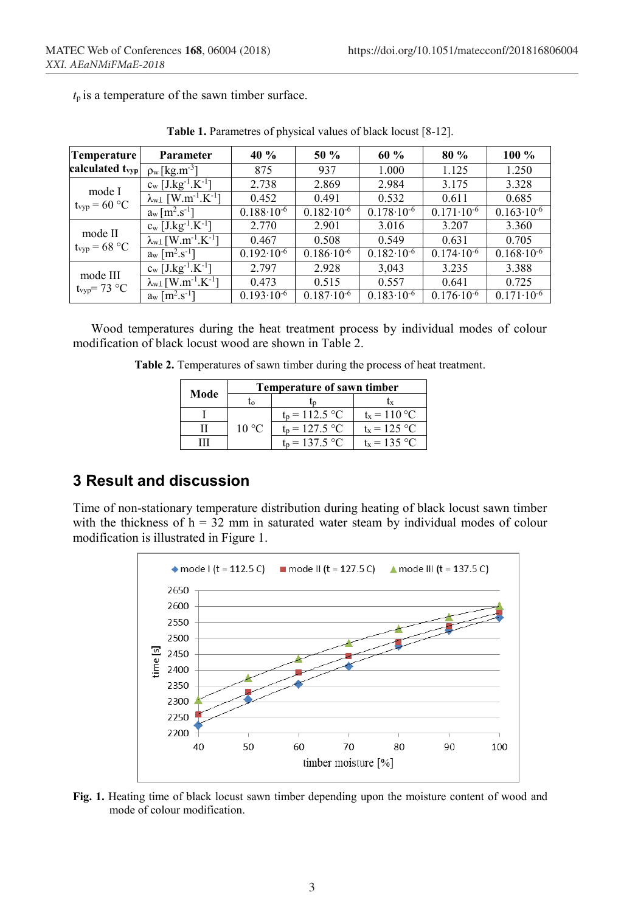$t_p$  is a temperature of the sawn timber surface.

| Temperature                          | Parameter                                                | 40 %                  | 50 %                  | 60 %                  | 80 %                  | $100\%$               |
|--------------------------------------|----------------------------------------------------------|-----------------------|-----------------------|-----------------------|-----------------------|-----------------------|
| calculated t <sub>vyp</sub>          | $\rho$ <sub>w</sub> [kg.m <sup>-3</sup> ]                | 875                   | 937                   | 1.000                 | 1.125                 | 1.250                 |
| mode I<br>$t_{vyp} = 60 °C$          | $c_w$ [J.kg <sup>-1</sup> .K <sup>-1</sup> ]             | 2.738                 | 2.869                 | 2.984                 | 3.175                 | 3.328                 |
|                                      | $\lambda_{w\perp}$ [W.m <sup>-1</sup> .K <sup>-1</sup> ] | 0.452                 | 0.491                 | 0.532                 | 0.611                 | 0.685                 |
|                                      | $a_w$ [m <sup>2</sup> .s <sup>-1</sup> ]                 | $0.188 \cdot 10^{-6}$ | $0.182 \cdot 10^{-6}$ | $0.178 \cdot 10^{-6}$ | $0.171 \cdot 10^{-6}$ | $0.163 \cdot 10^{-6}$ |
| mode II<br>$t_{vyp} = 68 °C$         | $c_w$ [J.kg <sup>-1</sup> .K <sup>-1</sup> ]             | 2.770                 | 2.901                 | 3.016                 | 3.207                 | 3.360                 |
|                                      | $\lambda_{w\perp}$ [W.m <sup>-1</sup> .K <sup>-1</sup> ] | 0.467                 | 0.508                 | 0.549                 | 0.631                 | 0.705                 |
|                                      | $a_w \,[\,m^2.s^{-1}]$                                   | $0.192 \cdot 10^{-6}$ | $0.186 \cdot 10^{-6}$ | $0.182 \cdot 10^{-6}$ | $0.174 \cdot 10^{-6}$ | $0.168 \cdot 10^{-6}$ |
| mode III<br>t <sub>vyp</sub> = 73 °C | $c_w$ [J.kg <sup>-1</sup> .K $^{-1}$ ]                   | 2.797                 | 2.928                 | 3,043                 | 3.235                 | 3.388                 |
|                                      | $\lambda_{w\perp}$ [W.m <sup>-1</sup> .K <sup>-1</sup> ] | 0.473                 | 0.515                 | 0.557                 | 0.641                 | 0.725                 |
|                                      | $a_w$ [m <sup>2</sup> .s <sup>-1</sup> ]                 | $0.193 \cdot 10^{-6}$ | $0.187 \cdot 10^{-6}$ | $0.183 \cdot 10^{-6}$ | $0.176 \cdot 10^{-6}$ | $0.171 \cdot 10^{-6}$ |

**Table 1.** Parametres of physical values of black locust [8-12].

Wood temperatures during the heat treatment process by individual modes of colour modification of black locust wood are shown in Table 2.

**Table 2.** Temperatures of sawn timber during the process of heat treatment.

|      | Temperature of sawn timber |                  |                      |  |  |
|------|----------------------------|------------------|----------------------|--|--|
| Mode | īω                         | Ln               |                      |  |  |
|      |                            | $t_n = 112.5 °C$ | $t_x = 110$ °C       |  |  |
|      | $10^{\circ}$ C             | $t_n = 127.5$ °C | $t_x = 125$ °C       |  |  |
|      |                            | $t_p = 137.5 °C$ | $t_{\rm v} = 135$ °C |  |  |

# **3 Result and discussion**

Time of non-stationary temperature distribution during heating of black locust sawn timber with the thickness of  $h = 32$  mm in saturated water steam by individual modes of colour modification is illustrated in Figure 1.



**Fig. 1.** Heating time of black locust sawn timber depending upon the moisture content of wood and mode of colour modification.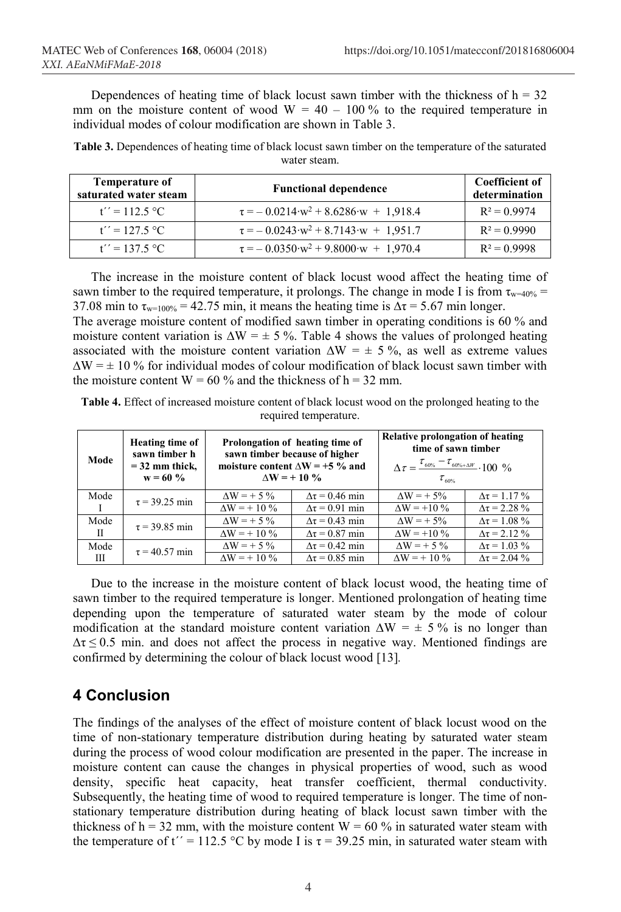Dependences of heating time of black locust sawn timber with the thickness of  $h = 32$ mm on the moisture content of wood  $W = 40 - 100\%$  to the required temperature in individual modes of colour modification are shown in Table 3.

**Table 3.** Dependences of heating time of black locust sawn timber on the temperature of the saturated water steam.

| <b>Temperature of</b><br>saturated water steam | <b>Functional dependence</b>                              | <b>Coefficient of</b><br>determination |
|------------------------------------------------|-----------------------------------------------------------|----------------------------------------|
| $t'' = 112.5 °C$                               | $\tau = -0.0214 \cdot w^2 + 8.6286 \cdot w + 1.918.4$     | $R^2 = 0.9974$                         |
| $t'' = 127.5 °C$                               | $\tau = -0.0243 \cdot w^2 + 8.7143 \cdot w + 1.951.7$     | $R^2 = 0.9990$                         |
| $t'' = 137.5$ °C                               | $\tau = -0.0350 \text{ w}^2 + 9.8000 \text{ w} + 1.970.4$ | $R^2 = 0.9998$                         |

The increase in the moisture content of black locust wood affect the heating time of sawn timber to the required temperature, it prolongs. The change in mode I is from  $\tau_{w=40\%}$  = 37.08 min to  $\tau_{w=100\%} = 42.75$  min, it means the heating time is  $\Delta \tau = 5.67$  min longer. The average moisture content of modified sawn timber in operating conditions is 60 % and moisture content variation is  $\Delta W = \pm 5$ %. Table 4 shows the values of prolonged heating associated with the moisture content variation  $\Delta W = \pm 5\%$ , as well as extreme values  $\Delta W = \pm 10$  % for individual modes of colour modification of black locust sawn timber with

**Table 4.** Effect of increased moisture content of black locust wood on the prolonged heating to the required temperature.

the moisture content  $W = 60\%$  and the thickness of  $h = 32$  mm.

| Mode         | Heating time of<br>sawn timber h<br>$=$ 32 mm thick.<br>$w = 60 \%$ | Prolongation of heating time of<br>sawn timber because of higher<br>moisture content $\Delta W = +5$ % and<br>$\Delta W = +10\%$ |                          | Relative prolongation of heating<br>time of sawn timber<br>$\Delta \tau = \frac{\tau_{60\%} - \tau_{60\% + \Delta W}}{2} \cdot 100^{-9}$<br>$\tau_{\rm age}$ |                         |  |
|--------------|---------------------------------------------------------------------|----------------------------------------------------------------------------------------------------------------------------------|--------------------------|--------------------------------------------------------------------------------------------------------------------------------------------------------------|-------------------------|--|
| Mode         | $\tau = 39.25$ min                                                  | $\Delta W = +5\%$                                                                                                                | $\Delta \tau = 0.46$ min | $AW = +5\%$                                                                                                                                                  | $\Delta \tau = 1.17 \%$ |  |
|              |                                                                     | $\Delta W = +10\%$                                                                                                               | $\Delta \tau = 0.91$ min | $\Delta W = +10\%$                                                                                                                                           | $\Delta \tau = 2.28 \%$ |  |
| Mode         | $\tau = 39.85$ min                                                  | $AW = +5\%$                                                                                                                      | $\Delta \tau = 0.43$ min | $AW = +5\%$                                                                                                                                                  | $\Delta \tau = 1.08 \%$ |  |
| $\mathbf{H}$ |                                                                     | $\Delta W = +10\%$                                                                                                               | $\Delta \tau = 0.87$ min | $\Delta W = +10\%$                                                                                                                                           | $\Delta \tau = 2.12 \%$ |  |
| Mode         | $\tau = 40.57$ min                                                  | $AW = +5\%$                                                                                                                      | $\Delta \tau = 0.42$ min | $AW = +5\%$                                                                                                                                                  | $\Delta \tau = 1.03 \%$ |  |
| Ш            |                                                                     | $\Delta W = +10\%$                                                                                                               | $\Delta \tau = 0.85$ min | $\Delta W = +10\%$                                                                                                                                           | $\Delta \tau = 2.04 \%$ |  |

Due to the increase in the moisture content of black locust wood, the heating time of sawn timber to the required temperature is longer. Mentioned prolongation of heating time depending upon the temperature of saturated water steam by the mode of colour modification at the standard moisture content variation  $\Delta W = \pm 5\%$  is no longer than  $\Delta \tau \leq 0.5$  min. and does not affect the process in negative way. Mentioned findings are confirmed by determining the colour of black locust wood [13]*.*

## **4 Conclusion**

The findings of the analyses of the effect of moisture content of black locust wood on the time of non-stationary temperature distribution during heating by saturated water steam during the process of wood colour modification are presented in the paper. The increase in moisture content can cause the changes in physical properties of wood, such as wood density, specific heat capacity, heat transfer coefficient, thermal conductivity. Subsequently, the heating time of wood to required temperature is longer. The time of nonstationary temperature distribution during heating of black locust sawn timber with the thickness of  $h = 32$  mm, with the moisture content  $W = 60$  % in saturated water steam with the temperature of t'' = 112.5 °C by mode I is  $\tau$  = 39.25 min, in saturated water steam with